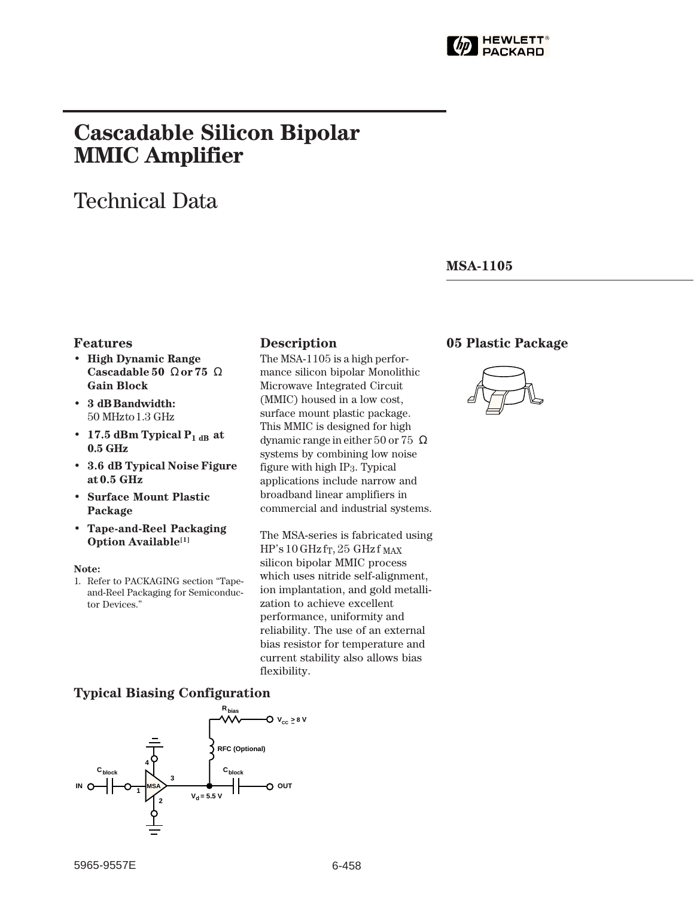

# **Cascadable Silicon Bipolar MMIC␣ Amplifier**

# Technical Data

#### **MSA-1105**

#### **Features**

- **High Dynamic Range Cascadable 50␣** Ω **or 75␣** Ω **Gain Block**
- **3␣ dB Bandwidth:** 50␣ MHz to 1.3␣ GHz
- 17.5 dBm Typical  $P_{1 dB}$  at **0.5␣ GHz**
- **3.6␣ dB Typical Noise Figure at 0.5␣ GHz**
- **Surface Mount Plastic Package**
- **Tape-and-Reel Packaging Option Available[1]**

#### **Note:**

1. Refer to PACKAGING section "Tapeand-Reel Packaging for Semiconductor Devices."

#### **Description 05 Plastic Package**

The MSA-1105 is a high performance silicon bipolar Monolithic Microwave Integrated Circuit (MMIC) housed in a low cost, surface mount plastic package. This MMIC is designed for high dynamic range in either  $50$  or  $75\ \Omega$ systems by combining low noise figure with high IP3. Typical applications include narrow and broadband linear amplifiers in commercial and industrial systems.

The MSA-series is fabricated using  $HP's 10 GHz$  f<sub>T</sub>, 25 GHz f MAX silicon bipolar MMIC process which uses nitride self-alignment, ion implantation, and gold metallization to achieve excellent performance, uniformity and reliability. The use of an external bias resistor for temperature and current stability also allows bias flexibility.

#### **Typical Biasing Configuration**

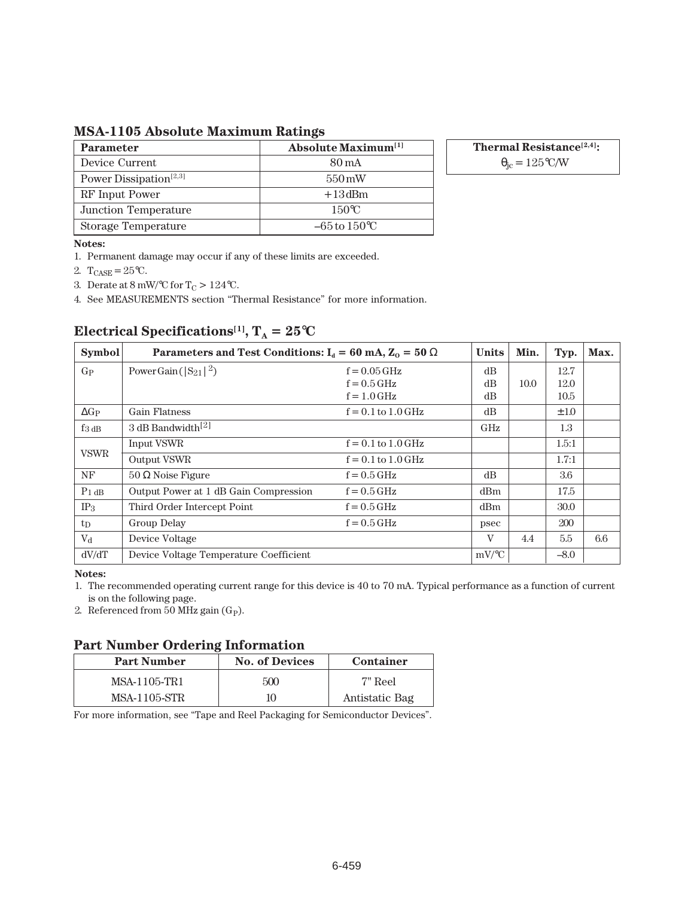**MSA-1105 Absolute Maximum Ratings**

| <b>Parameter</b>                   | <b>Absolute Maximum</b> <sup>[1]</sup> |
|------------------------------------|----------------------------------------|
| Device Current                     | 80 mA                                  |
| Power Dissipation <sup>[2,3]</sup> | $550 \,\mathrm{mW}$                    |
| RF Input Power                     | $+13$ dBm                              |
| Junction Temperature               | $150^{\circ}$ C                        |
| Storage Temperature                | $-65$ to $150^{\circ}$ C               |

**Thermal Resistance[2,4]:**  $\theta_{\rm jc} = 125$ °C/W

**Notes:**

1. Permanent damage may occur if any of these limits are exceeded.

2.  $T_{CASE} = 25^{\circ}C$ .

3. Derate at 8 mW/°C for T<sub>C</sub> > 124°C.

4. See MEASUREMENTS section "Thermal Resistance" for more information.

| <b>Symbol</b>       | Parameters and Test Conditions: $I_d = 60$ mA, $Z_0 = 50 \Omega$ | <b>Units</b>           | Min.     | Typ. | Max.      |     |
|---------------------|------------------------------------------------------------------|------------------------|----------|------|-----------|-----|
| $G_{P}$             | Power Gain ( $ S_{21} ^2$ )                                      | $f = 0.05$ GHz         | dB       |      | 12.7      |     |
|                     |                                                                  | $f = 0.5$ GHz          | dB       | 10.0 | 12.0      |     |
|                     |                                                                  | $f = 1.0$ GHz          | dB       |      | 10.5      |     |
| $\Delta G_P$        | <b>Gain Flatness</b>                                             | $f = 0.1$ to $1.0$ GHz | dB       |      | $\pm 1.0$ |     |
| $f_3$ <sub>dB</sub> | 3 dB Bandwidth <sup>[2]</sup>                                    |                        | GHz      |      | 1.3       |     |
| <b>VSWR</b>         | Input VSWR                                                       | $f = 0.1$ to $1.0$ GHz |          |      | 1.5:1     |     |
|                     | Output VSWR                                                      | $f = 0.1$ to $1.0$ GHz |          |      | 1.7:1     |     |
| NF                  | $50 \Omega$ Noise Figure                                         | $f = 0.5$ GHz          | dB       |      | 3.6       |     |
| $P_1$ dB            | Output Power at 1 dB Gain Compression                            | $f = 0.5$ GHz          | dBm      |      | 17.5      |     |
| IP <sub>3</sub>     | Third Order Intercept Point                                      | $f = 0.5$ GHz          | dBm      |      | 30.0      |     |
| $t_{\rm D}$         | Group Delay                                                      | $f = 0.5$ GHz          | psec     |      | 200       |     |
| $V_{\rm d}$         | Device Voltage                                                   |                        | V        | 4.4  | 5.5       | 6.6 |
| dV/dT               | Device Voltage Temperature Coefficient                           |                        | $mV$ /°C |      | $-8.0$    |     |

## **Electrical Specifications<sup>[1]</sup>,**  $T_A = 25$ **°C**

**Notes:**

1. The recommended operating current range for this device is 40 to 70 mA. Typical performance as a function of current is on the following page.

2. Referenced from 50 MHz gain (G<sub>P</sub>).

#### **Part Number Ordering Information**

| . .<br><b>Part Number</b> | <b>No. of Devices</b> | Container      |  |  |
|---------------------------|-----------------------|----------------|--|--|
| MSA-1105-TR1              | 500                   | 7" Reel        |  |  |
| <b>MSA-1105-STR</b>       | 10                    | Antistatic Bag |  |  |

For more information, see "Tape and Reel Packaging for Semiconductor Devices".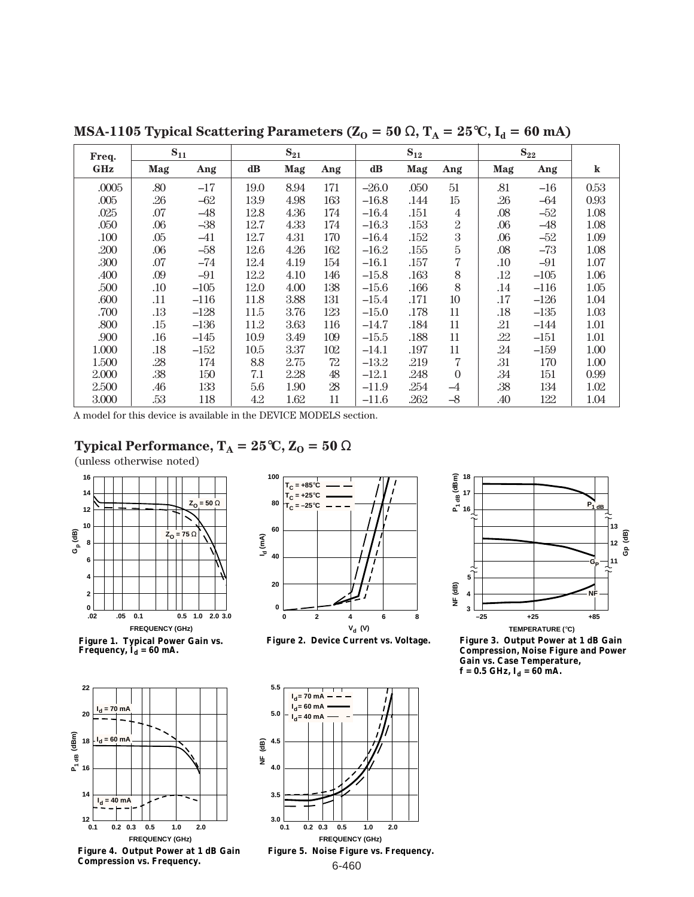| $S_{11}$<br>Freq. |     | $S_{21}$ |               |      | $S_{12}$ |               |      | $S_{22}$       |         |        |         |
|-------------------|-----|----------|---------------|------|----------|---------------|------|----------------|---------|--------|---------|
| <b>GHz</b>        | Mag | Ang      | $\mathbf{dB}$ | Mag  | Ang      | $\mathbf{dB}$ | Mag  | Ang            | Mag     | Ang    | $\bf k$ |
| .0005             | .80 | $-17$    | 19.0          | 8.94 | 171      | $-26.0$       | .050 | 51             | .81     | $-16$  | 0.53    |
| .005              | .26 | $-62$    | 13.9          | 4.98 | 163      | $-16.8$       | .144 | 15             | .26     | $-64$  | 0.93    |
| .025              | .07 | $-48$    | 12.8          | 4.36 | 174      | $-16.4$       | .151 | $\overline{4}$ | .08     | $-52$  | 1.08    |
| .050              | .06 | $-38$    | 12.7          | 4.33 | 174      | $-16.3$       | .153 | $\overline{2}$ | $.06\,$ | $-48$  | 1.08    |
| .100              | .05 | $-41$    | 12.7          | 4.31 | 170      | $-16.4$       | .152 | 3              | .06     | $-52$  | 1.09    |
| .200              | .06 | $-58$    | 12.6          | 4.26 | 162      | $-16.2$       | .155 | 5              | .08     | $-73$  | 1.08    |
| .300              | .07 | $-74$    | 12.4          | 4.19 | 154      | $-16.1$       | .157 | 7              | .10     | $-91$  | 1.07    |
| .400              | .09 | $-91$    | 12.2          | 4.10 | 146      | $-15.8$       | .163 | 8              | .12     | $-105$ | 1.06    |
| .500              | .10 | $-105$   | 12.0          | 4.00 | 138      | $-15.6$       | .166 | 8              | .14     | $-116$ | 1.05    |
| .600              | .11 | $-116$   | 11.8          | 3.88 | 131      | $-15.4$       | .171 | 10             | .17     | $-126$ | 1.04    |
| .700              | .13 | $-128$   | 11.5          | 3.76 | 123      | $-15.0$       | .178 | 11             | .18     | $-135$ | 1.03    |
| .800              | .15 | $-136$   | 11.2          | 3.63 | 116      | $-14.7$       | .184 | 11             | .21     | $-144$ | 1.01    |
| .900              | .16 | $-145$   | 10.9          | 3.49 | 109      | $-15.5$       | .188 | 11             | .22     | $-151$ | 1.01    |
| 1.000             | .18 | $-152$   | 10.5          | 3.37 | 102      | $-14.1$       | .197 | 11             | .24     | $-159$ | 1.00    |
| 1.500             | .28 | 174      | 8.8           | 2.75 | 72       | $-13.2$       | .219 | 7              | .31     | 170    | 1.00    |
| 2.000             | .38 | 150      | 7.1           | 2.28 | 48       | $-12.1$       | .248 | $\Omega$       | .34     | 151    | 0.99    |
| 2.500             | .46 | 133      | 5.6           | 1.90 | 28       | $-11.9$       | .254 | $-4$           | .38     | 134    | 1.02    |
| 3.000             | .53 | 118      | 4.2           | 1.62 | 11       | $-11.6$       | .262 | $-8$           | .40     | 122    | 1.04    |

**MSA-1105 Typical Scattering Parameters (Z<sub>O</sub> = 50**  $\Omega$ **, T<sub>A</sub> = 25 °C, I<sub>d</sub> = 60 mA)** 

A model for this device is available in the DEVICE MODELS section.

### **Typical Performance,**  $T_A = 25$ **°C,**  $Z_0 = 50 \Omega$

(unless otherwise noted)



Figure 1. Typical Power Gain vs.<br>Frequency, I<sub>d</sub> = 60 mA.





**Figure 2. Device Current vs. Voltage.**





**Figure 3. Output Power at 1 dB Gain Compression, Noise Figure and Power Gain vs. Case Temperature,**   $f = 0.5$  GHz,  $I_d = 60$  mA.